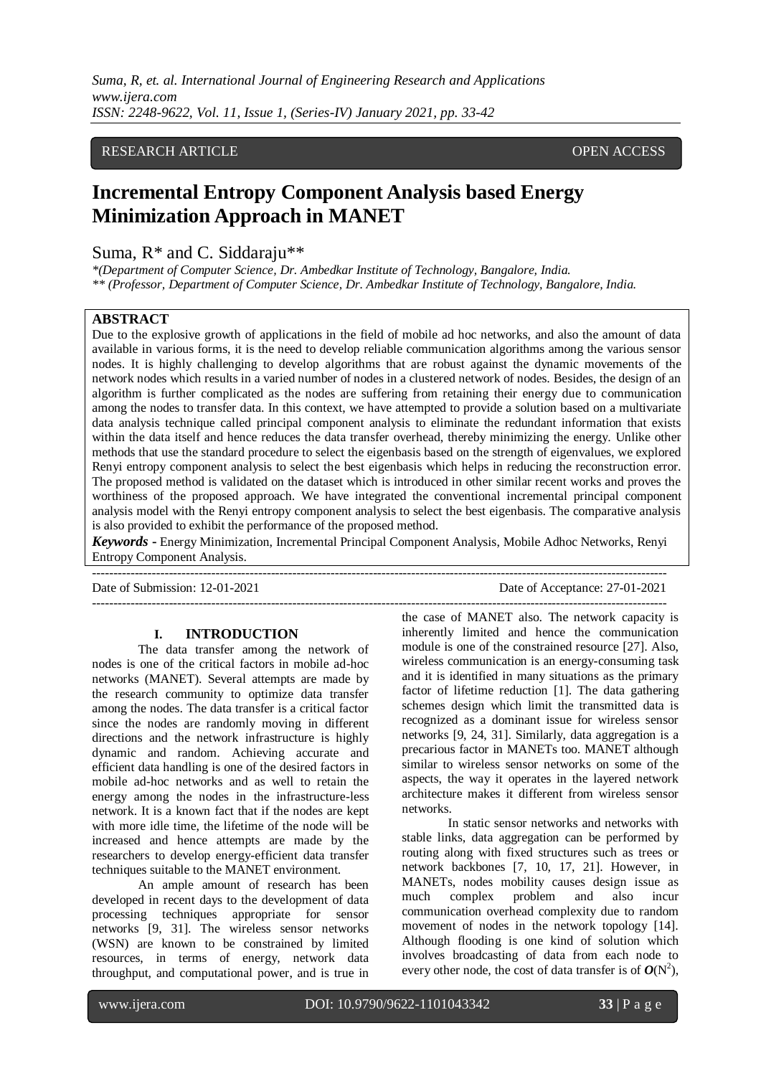*Suma, R, et. al. International Journal of Engineering Research and Applications www.ijera.com ISSN: 2248-9622, Vol. 11, Issue 1, (Series-IV) January 2021, pp. 33-42*

# RESEARCH ARTICLE **CONTRACT ARTICLE** AND A SERVICE OPEN ACCESS OPEN ACCESS

# **Incremental Entropy Component Analysis based Energy Minimization Approach in MANET**

# Suma, R\* and C. Siddaraju\*\*

*\*(Department of Computer Science, Dr. Ambedkar Institute of Technology, Bangalore, India. \*\* (Professor, Department of Computer Science, Dr. Ambedkar Institute of Technology, Bangalore, India.*

# **ABSTRACT**

Due to the explosive growth of applications in the field of mobile ad hoc networks, and also the amount of data available in various forms, it is the need to develop reliable communication algorithms among the various sensor nodes. It is highly challenging to develop algorithms that are robust against the dynamic movements of the network nodes which results in a varied number of nodes in a clustered network of nodes. Besides, the design of an algorithm is further complicated as the nodes are suffering from retaining their energy due to communication among the nodes to transfer data. In this context, we have attempted to provide a solution based on a multivariate data analysis technique called principal component analysis to eliminate the redundant information that exists within the data itself and hence reduces the data transfer overhead, thereby minimizing the energy. Unlike other methods that use the standard procedure to select the eigenbasis based on the strength of eigenvalues, we explored Renyi entropy component analysis to select the best eigenbasis which helps in reducing the reconstruction error. The proposed method is validated on the dataset which is introduced in other similar recent works and proves the worthiness of the proposed approach. We have integrated the conventional incremental principal component analysis model with the Renyi entropy component analysis to select the best eigenbasis. The comparative analysis is also provided to exhibit the performance of the proposed method.

*Keywords* **-** Energy Minimization, Incremental Principal Component Analysis, Mobile Adhoc Networks, Renyi Entropy Component Analysis.

Date of Submission: 12-01-2021 Date of Acceptance: 27-01-2021

---------------------------------------------------------------------------------------------------------------------------------------

#### **I. INTRODUCTION**

The data transfer among the network of nodes is one of the critical factors in mobile ad-hoc networks (MANET). Several attempts are made by the research community to optimize data transfer among the nodes. The data transfer is a critical factor since the nodes are randomly moving in different directions and the network infrastructure is highly dynamic and random. Achieving accurate and efficient data handling is one of the desired factors in mobile ad-hoc networks and as well to retain the energy among the nodes in the infrastructure-less network. It is a known fact that if the nodes are kept with more idle time, the lifetime of the node will be increased and hence attempts are made by the researchers to develop energy-efficient data transfer techniques suitable to the MANET environment.

An ample amount of research has been developed in recent days to the development of data processing techniques appropriate for sensor networks [9, 31]. The wireless sensor networks (WSN) are known to be constrained by limited resources, in terms of energy, network data throughput, and computational power, and is true in

-------------------------------------------------------------------------------------------------------------------------------------- the case of MANET also. The network capacity is inherently limited and hence the communication module is one of the constrained resource [27]. Also, wireless communication is an energy-consuming task and it is identified in many situations as the primary factor of lifetime reduction [1]. The data gathering schemes design which limit the transmitted data is recognized as a dominant issue for wireless sensor networks [9, 24, 31]. Similarly, data aggregation is a precarious factor in MANETs too. MANET although similar to wireless sensor networks on some of the aspects, the way it operates in the layered network architecture makes it different from wireless sensor networks.

In static sensor networks and networks with stable links, data aggregation can be performed by routing along with fixed structures such as trees or network backbones [7, 10, 17, 21]. However, in MANETs, nodes mobility causes design issue as much complex problem and also incur communication overhead complexity due to random movement of nodes in the network topology [14]. Although flooding is one kind of solution which involves broadcasting of data from each node to every other node, the cost of data transfer is of  $O(N^2)$ ,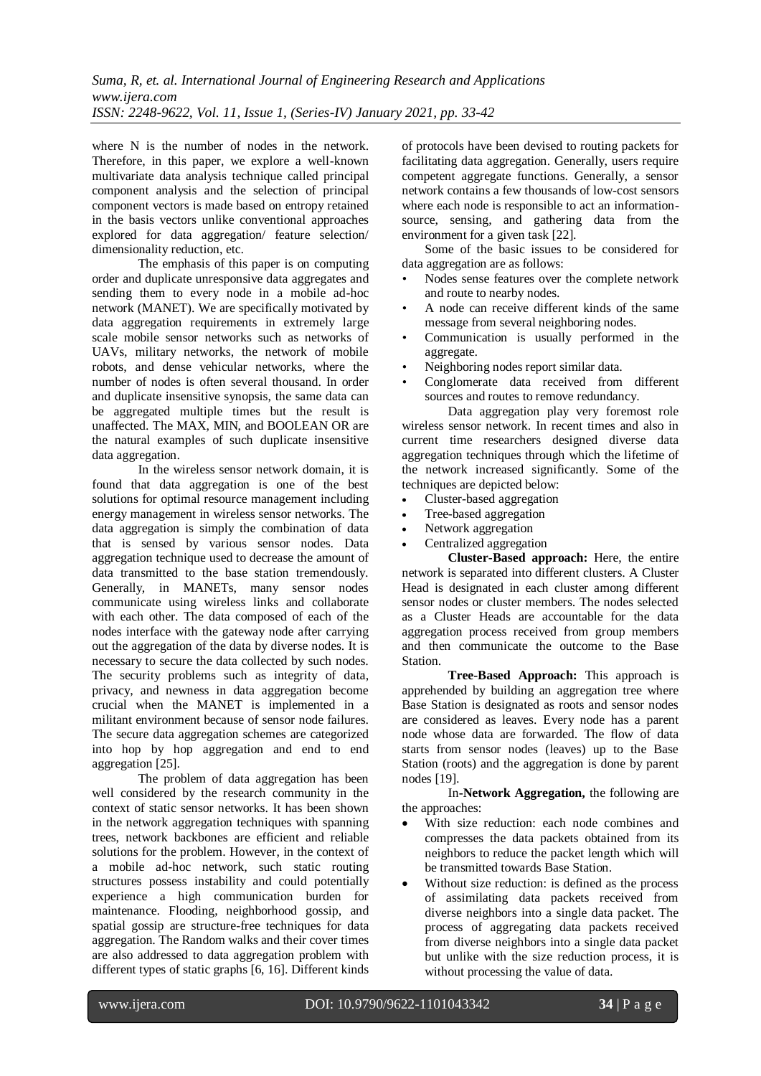where N is the number of nodes in the network. Therefore, in this paper, we explore a well-known multivariate data analysis technique called principal component analysis and the selection of principal component vectors is made based on entropy retained in the basis vectors unlike conventional approaches explored for data aggregation/ feature selection/ dimensionality reduction, etc.

The emphasis of this paper is on computing order and duplicate unresponsive data aggregates and sending them to every node in a mobile ad-hoc network (MANET). We are specifically motivated by data aggregation requirements in extremely large scale mobile sensor networks such as networks of UAVs, military networks, the network of mobile robots, and dense vehicular networks, where the number of nodes is often several thousand. In order and duplicate insensitive synopsis, the same data can be aggregated multiple times but the result is unaffected. The MAX, MIN, and BOOLEAN OR are the natural examples of such duplicate insensitive data aggregation.

In the wireless sensor network domain, it is found that data aggregation is one of the best solutions for optimal resource management including energy management in wireless sensor networks. The data aggregation is simply the combination of data that is sensed by various sensor nodes. Data aggregation technique used to decrease the amount of data transmitted to the base station tremendously. Generally, in MANETs, many sensor nodes communicate using wireless links and collaborate with each other. The data composed of each of the nodes interface with the gateway node after carrying out the aggregation of the data by diverse nodes. It is necessary to secure the data collected by such nodes. The security problems such as integrity of data, privacy, and newness in data aggregation become crucial when the MANET is implemented in a militant environment because of sensor node failures. The secure data aggregation schemes are categorized into hop by hop aggregation and end to end aggregation [25].

The problem of data aggregation has been well considered by the research community in the context of static sensor networks. It has been shown in the network aggregation techniques with spanning trees, network backbones are efficient and reliable solutions for the problem. However, in the context of a mobile ad-hoc network, such static routing structures possess instability and could potentially experience a high communication burden for maintenance. Flooding, neighborhood gossip, and spatial gossip are structure-free techniques for data aggregation. The Random walks and their cover times are also addressed to data aggregation problem with different types of static graphs [6, 16]. Different kinds

of protocols have been devised to routing packets for facilitating data aggregation. Generally, users require competent aggregate functions. Generally, a sensor network contains a few thousands of low-cost sensors where each node is responsible to act an informationsource, sensing, and gathering data from the environment for a given task [22].

Some of the basic issues to be considered for data aggregation are as follows:

- Nodes sense features over the complete network and route to nearby nodes.
- A node can receive different kinds of the same message from several neighboring nodes.
- Communication is usually performed in the aggregate.
- Neighboring nodes report similar data.
- Conglomerate data received from different sources and routes to remove redundancy.

Data aggregation play very foremost role wireless sensor network. In recent times and also in current time researchers designed diverse data aggregation techniques through which the lifetime of the network increased significantly. Some of the techniques are depicted below:

- Cluster-based aggregation
- Tree-based aggregation
- Network aggregation
- Centralized aggregation

**Cluster-Based approach:** Here, the entire network is separated into different clusters. A Cluster Head is designated in each cluster among different sensor nodes or cluster members. The nodes selected as a Cluster Heads are accountable for the data aggregation process received from group members and then communicate the outcome to the Base Station.

**Tree-Based Approach:** This approach is apprehended by building an aggregation tree where Base Station is designated as roots and sensor nodes are considered as leaves. Every node has a parent node whose data are forwarded. The flow of data starts from sensor nodes (leaves) up to the Base Station (roots) and the aggregation is done by parent nodes [19].

In**-Network Aggregation,** the following are the approaches:

- With size reduction: each node combines and compresses the data packets obtained from its neighbors to reduce the packet length which will be transmitted towards Base Station.
- Without size reduction: is defined as the process of assimilating data packets received from diverse neighbors into a single data packet. The process of aggregating data packets received from diverse neighbors into a single data packet but unlike with the size reduction process, it is without processing the value of data.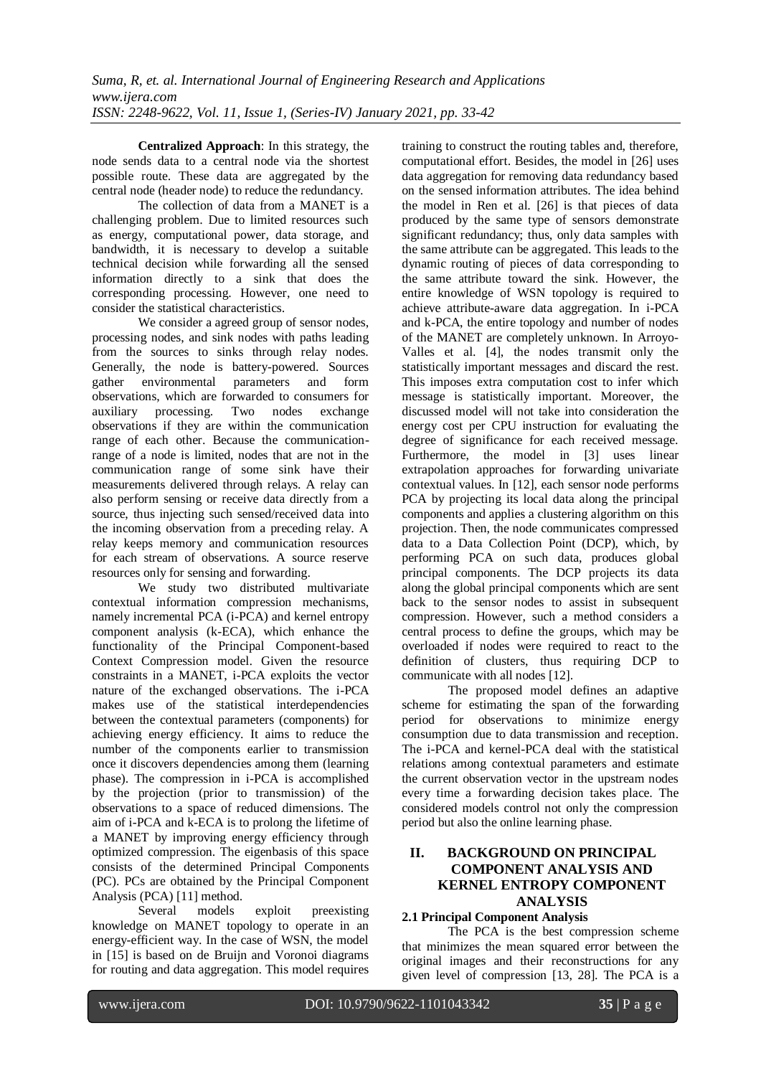**Centralized Approach**: In this strategy, the node sends data to a central node via the shortest possible route. These data are aggregated by the central node (header node) to reduce the redundancy.

The collection of data from a MANET is a challenging problem. Due to limited resources such as energy, computational power, data storage, and bandwidth, it is necessary to develop a suitable technical decision while forwarding all the sensed information directly to a sink that does the corresponding processing. However, one need to consider the statistical characteristics.

We consider a agreed group of sensor nodes, processing nodes, and sink nodes with paths leading from the sources to sinks through relay nodes. Generally, the node is battery-powered. Sources<br>gather environmental parameters and form environmental parameters and form observations, which are forwarded to consumers for auxiliary processing. Two nodes exchange observations if they are within the communication range of each other. Because the communicationrange of a node is limited, nodes that are not in the communication range of some sink have their measurements delivered through relays. A relay can also perform sensing or receive data directly from a source, thus injecting such sensed/received data into the incoming observation from a preceding relay. A relay keeps memory and communication resources for each stream of observations. A source reserve resources only for sensing and forwarding.

We study two distributed multivariate contextual information compression mechanisms, namely incremental PCA (i-PCA) and kernel entropy component analysis (k-ECA), which enhance the functionality of the Principal Component-based Context Compression model. Given the resource constraints in a MANET, i-PCA exploits the vector nature of the exchanged observations. The i-PCA makes use of the statistical interdependencies between the contextual parameters (components) for achieving energy efficiency. It aims to reduce the number of the components earlier to transmission once it discovers dependencies among them (learning phase). The compression in i-PCA is accomplished by the projection (prior to transmission) of the observations to a space of reduced dimensions. The aim of i-PCA and k-ECA is to prolong the lifetime of a MANET by improving energy efficiency through optimized compression. The eigenbasis of this space consists of the determined Principal Components (PC). PCs are obtained by the Principal Component Analysis (PCA) [11] method.

Several models exploit preexisting knowledge on MANET topology to operate in an energy-efficient way. In the case of WSN, the model in [15] is based on de Bruijn and Voronoi diagrams for routing and data aggregation. This model requires

training to construct the routing tables and, therefore, computational effort. Besides, the model in [26] uses data aggregation for removing data redundancy based on the sensed information attributes. The idea behind the model in Ren et al. [26] is that pieces of data produced by the same type of sensors demonstrate significant redundancy; thus, only data samples with the same attribute can be aggregated. This leads to the dynamic routing of pieces of data corresponding to the same attribute toward the sink. However, the entire knowledge of WSN topology is required to achieve attribute-aware data aggregation. In i-PCA and k-PCA, the entire topology and number of nodes of the MANET are completely unknown. In Arroyo-Valles et al. [4], the nodes transmit only the statistically important messages and discard the rest. This imposes extra computation cost to infer which message is statistically important. Moreover, the discussed model will not take into consideration the energy cost per CPU instruction for evaluating the degree of significance for each received message. Furthermore, the model in [3] uses linear extrapolation approaches for forwarding univariate contextual values. In [12], each sensor node performs PCA by projecting its local data along the principal components and applies a clustering algorithm on this projection. Then, the node communicates compressed data to a Data Collection Point (DCP), which, by performing PCA on such data, produces global principal components. The DCP projects its data along the global principal components which are sent back to the sensor nodes to assist in subsequent compression. However, such a method considers a central process to define the groups, which may be overloaded if nodes were required to react to the definition of clusters, thus requiring DCP to communicate with all nodes [12].

The proposed model defines an adaptive scheme for estimating the span of the forwarding period for observations to minimize energy consumption due to data transmission and reception. The i-PCA and kernel-PCA deal with the statistical relations among contextual parameters and estimate the current observation vector in the upstream nodes every time a forwarding decision takes place. The considered models control not only the compression period but also the online learning phase.

# **II. BACKGROUND ON PRINCIPAL COMPONENT ANALYSIS AND KERNEL ENTROPY COMPONENT ANALYSIS**

# **2.1 Principal Component Analysis**

The PCA is the best compression scheme that minimizes the mean squared error between the original images and their reconstructions for any given level of compression [13, 28]. The PCA is a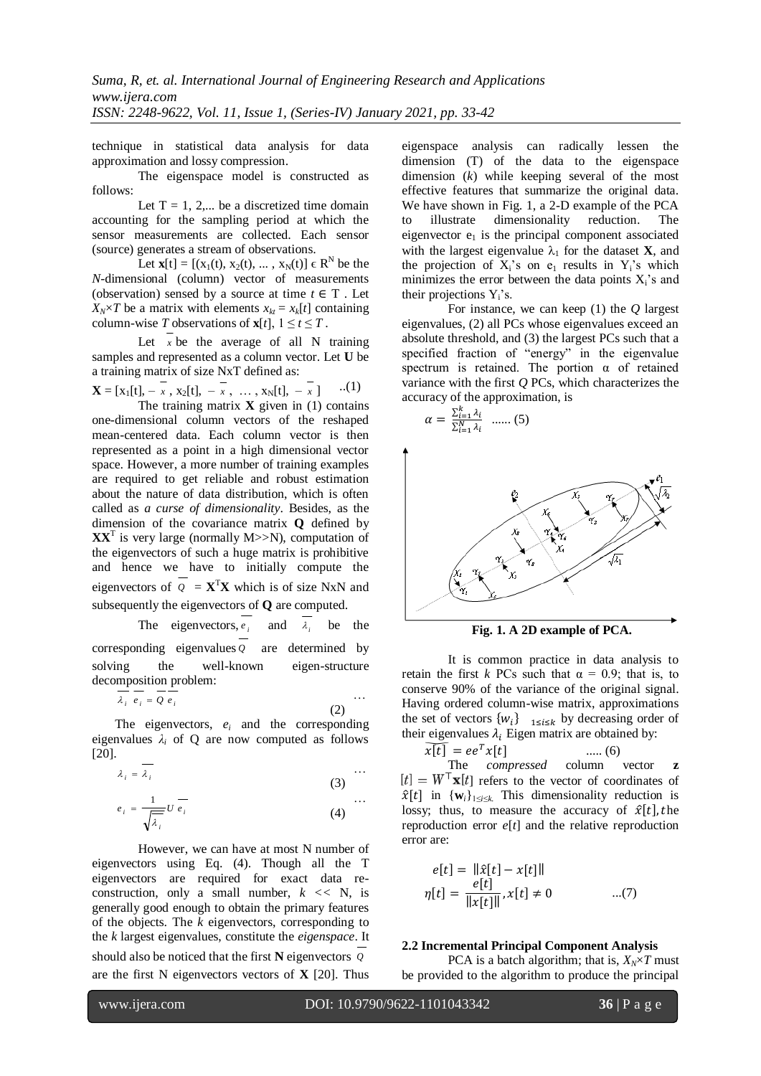technique in statistical data analysis for data approximation and lossy compression.

The eigenspace model is constructed as follows:

Let  $T = 1, 2,...$  be a discretized time domain accounting for the sampling period at which the sensor measurements are collected. Each sensor (source) generates a stream of observations.

Let  $\mathbf{x}[t] = [(x_1(t), x_2(t), ..., x_N(t)] \in \mathbb{R}^N$  be the *N*-dimensional (column) vector of measurements (observation) sensed by a source at time  $t \in T$ . Let  $X_N \times T$  be a matrix with elements  $x_{kt} = x_k[t]$  containing column-wise *T* observations of  $\mathbf{x}[t]$ ,  $1 \le t \le T$ .

Let  $x$  be the average of all N training samples and represented as a column vector. Let **U** be a training matrix of size NxT defined as:

$$
\mathbf{X} = [x_1[t], -\overline{x}, x_2[t], -\overline{x}, \dots, x_N[t], -\overline{x}] \quad ...(1)
$$

The training matrix  $\bf{X}$  given in (1) contains one-dimensional column vectors of the reshaped mean-centered data. Each column vector is then represented as a point in a high dimensional vector space. However, a more number of training examples are required to get reliable and robust estimation about the nature of data distribution, which is often called as *a curse of dimensionality*. Besides, as the dimension of the covariance matrix **Q** defined by  $\mathbf{X} \mathbf{X}^{\text{T}}$  is very large (normally M $>>$ N), computation of the eigenvectors of such a huge matrix is prohibitive and hence we have to initially compute the eigenvectors of  $Q = \mathbf{X}^T \mathbf{X}$  which is of size NxN and subsequently the eigenvectors of **Q** are computed.

> The eigenvectors,  $e_i$ and  $\lambda_i$ be the

corresponding eigenvalues *Q* are determined by solving the well-known eigen-structure decomposition problem:

$$
\overline{\lambda_i} \overline{e_i} = \overline{Q} \overline{e_i} \tag{2}
$$

The eigenvectors, *e<sup>i</sup>* and the corresponding eigenvalues  $\lambda_i$  of Q are now computed as follows [20].

$$
\lambda_i = \overline{\lambda_i} \tag{3}
$$

$$
e_i = \frac{1}{\sqrt{\overline{\lambda}_i}} U e_i \qquad (4)
$$

However, we can have at most N number of eigenvectors using Eq. (4). Though all the T eigenvectors are required for exact data reconstruction, only a small number,  $k \leq N$ , is generally good enough to obtain the primary features of the objects. The *k* eigenvectors, corresponding to the *k* largest eigenvalues, constitute the *eigenspace*. It should also be noticed that the first **N** eigenvectors *Q* are the first N eigenvectors vectors of **X** [20]. Thus

eigenspace analysis can radically lessen the dimension (T) of the data to the eigenspace dimension (*k*) while keeping several of the most effective features that summarize the original data. We have shown in Fig. 1, a 2-D example of the PCA to illustrate dimensionality reduction. The eigenvector  $e_1$  is the principal component associated with the largest eigenvalue  $\lambda_1$  for the dataset **X**, and the projection of  $X_i$ 's on  $e_1$  results in  $Y_i$ 's which minimizes the error between the data points  $X_i$ 's and their projections  $Y_i$ 's.

For instance, we can keep (1) the *Q* largest eigenvalues, (2) all PCs whose eigenvalues exceed an absolute threshold, and (3) the largest PCs such that a specified fraction of "energy" in the eigenvalue spectrum is retained. The portion  $\alpha$  of retained variance with the first *Q* PCs, which characterizes the accuracy of the approximation, is

$$
\alpha = \frac{\sum_{i=1}^{k} \lambda_i}{\sum_{i=1}^{N} \lambda_i} \quad \dots \quad (5)
$$



**Fig. 1. A 2D example of PCA.**

It is common practice in data analysis to retain the first *k* PCs such that  $\alpha = 0.9$ ; that is, to conserve 90% of the variance of the original signal. Having ordered column-wise matrix, approximations the set of vectors  $\{w_i\}$  <sub>15i5k</sub> by decreasing order of their eigenvalues  $\lambda_i$  Eigen matrix are obtained by:

$$
\overline{x[t]} = ee^T x[t] \qquad \qquad \dots (6)
$$

The *compressed* column vector **z**  $[t] = W^{\top} \mathbf{x}[t]$  refers to the vector of coordinates of  $\hat{x}[t]$  in  ${\bf w}_i\}_{1\le i\le k}$ . This dimensionality reduction is lossy; thus, to measure the accuracy of  $\hat{x}[t]$ , the reproduction error *e*[*t*] and the relative reproduction error are:

$$
e[t] = ||\hat{x}[t] - x[t]||
$$
  
\n
$$
\eta[t] = \frac{e[t]}{||x[t]||}, x[t] \neq 0 \qquad ...(7)
$$

# **2.2 Incremental Principal Component Analysis**

PCA is a batch algorithm; that is,  $X_N \times T$  must be provided to the algorithm to produce the principal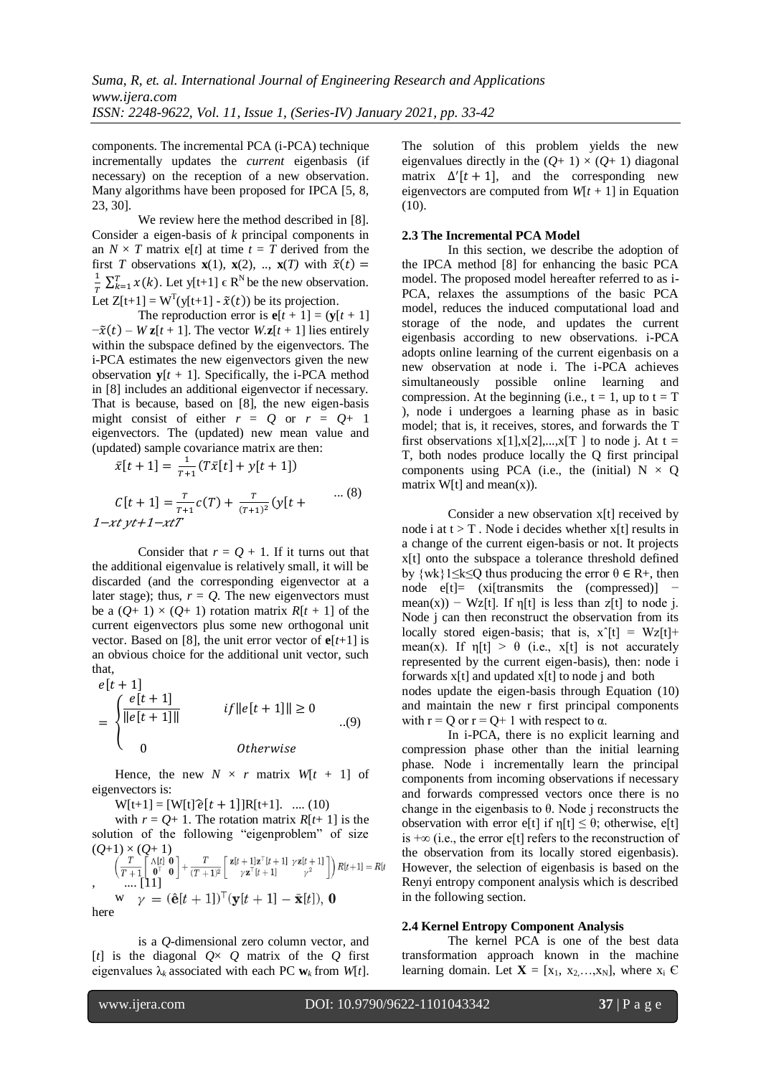components. The incremental PCA (i-PCA) technique incrementally updates the *current* eigenbasis (if necessary) on the reception of a new observation. Many algorithms have been proposed for IPCA [5, 8, 23, 30].

We review here the method described in [8]. Consider a eigen-basis of *k* principal components in an  $N \times T$  matrix e[t] at time  $t = T$  derived from the first *T* observations **x**(1), **x**(2), .., **x**(*T*) with  $\tilde{x}(t) =$  $\mathbf{1}$  $\frac{1}{T} \sum_{k=1}^{T} x(k)$ . Let y[t+1]  $\in \mathbb{R}^{N}$  be the new observation. Let  $Z[t+1] = W<sup>T</sup>(y[t+1] - \tilde{x}(t))$  be its projection.

The reproduction error is  $e[t + 1] = (y[t + 1])$  $-\tilde{x}(t) - Wz[t+1]$ . The vector  $W_z[t+1]$  lies entirely within the subspace defined by the eigenvectors. The i-PCA estimates the new eigenvectors given the new observation  $y[t + 1]$ . Specifically, the i-PCA method in [8] includes an additional eigenvector if necessary. That is because, based on [8], the new eigen-basis might consist of either  $r = Q$  or  $r = Q + 1$ eigenvectors. The (updated) new mean value and (updated) sample covariance matrix are then:

$$
\bar{x}[t+1] = \frac{1}{T+1}(T\bar{x}[t] + y[t+1])
$$
  
\n
$$
C[t+1] = \frac{T}{T+1}c(T) + \frac{T}{(T+1)^2}(y[t + \cdots (8))
$$
  
\n
$$
1 - xt \, yt + 1 - xtT
$$

Consider that  $r = Q + 1$ . If it turns out that the additional eigenvalue is relatively small, it will be discarded (and the corresponding eigenvector at a later stage); thus,  $r = Q$ . The new eigenvectors must be a  $(Q+1) \times (Q+1)$  rotation matrix  $R[t+1]$  of the current eigenvectors plus some new orthogonal unit vector. Based on [8], the unit error vector of  $\mathbf{e}[t+1]$  is an obvious choice for the additional unit vector, such that,

$$
e[t + 1]
$$
  
= 
$$
\begin{cases} \frac{e[t + 1]}{\|e[t + 1]\|} & \text{if } \|e[t + 1]\| \ge 0 \\ 0 & \text{otherwise} \end{cases}
$$
...(9)

Hence, the new  $N \times r$  matrix  $W[t + 1]$  of eigenvectors is:

 $W[t+1] = [W[t]\hat{e}[t+1]]R[t+1].$  .... (10)

with  $r = Q + 1$ . The rotation matrix  $R[t+1]$  is the solution of the following "eigenproblem" of size  $(Q+1) \times (Q+1)$ 

$$
\begin{array}{c}\n\left(\frac{T}{T+1}\begin{bmatrix}\n\Lambda[t] & \mathbf{0} \\
\mathbf{0}^{\top} & \mathbf{0}\n\end{bmatrix} + \frac{T}{(T+1)^2}\begin{bmatrix}\n\mathbf{z}[t+1]\mathbf{z}^{\top}[t+1] & \gamma\mathbf{z}[t+1] \\
\gamma\mathbf{z}^{\top}[t+1] & \gamma^2\n\end{bmatrix}\right)R[t+1] = R[t] \\
\text{w} \quad \gamma = (\hat{\mathbf{e}}[t+1])^{\top}(\mathbf{y}[t+1] - \bar{\mathbf{x}}[t]), \mathbf{0} \\
\text{here}\n\end{array}
$$

is a *Q*-dimensional zero column vector, and [*t*] is the diagonal  $Q \times Q$  matrix of the *Q* first eigenvalues  $\lambda_k$  associated with each PC  $\mathbf{w}_k$  from *W*[*t*].

The solution of this problem yields the new eigenvalues directly in the  $(Q+1) \times (Q+1)$  diagonal matrix  $\Delta'[t+1]$ , and the corresponding new eigenvectors are computed from  $W[t + 1]$  in Equation  $(10)$ .

#### **2.3 The Incremental PCA Model**

In this section, we describe the adoption of the IPCA method [8] for enhancing the basic PCA model. The proposed model hereafter referred to as i-PCA, relaxes the assumptions of the basic PCA model, reduces the induced computational load and storage of the node, and updates the current eigenbasis according to new observations. i-PCA adopts online learning of the current eigenbasis on a new observation at node i. The i-PCA achieves simultaneously possible online learning and compression. At the beginning (i.e.,  $t = 1$ , up to  $t = T$ ), node i undergoes a learning phase as in basic model; that is, it receives, stores, and forwards the T first observations  $x[1],x[2],...,x[T]$  to node j. At  $t =$ T, both nodes produce locally the Q first principal components using PCA (i.e., the (initial)  $N \times Q$ matrix  $W[t]$  and mean $(x)$ ).

Consider a new observation x[t] received by node i at  $t > T$ . Node i decides whether  $x[t]$  results in a change of the current eigen-basis or not. It projects x[t] onto the subspace a tolerance threshold defined by  $\{wk\}1\leq k\leq Q$  thus producing the error  $\theta \in R_+$ , then node e[t]= (xi[transmits the (compressed)] mean(x)) – Wz[t]. If  $\eta[t]$  is less than z[t] to node i. Node j can then reconstruct the observation from its locally stored eigen-basis; that is,  $x^{\hat{}}[t] = Wz[t]$ + mean(x). If  $\eta[t] > \theta$  (i.e., x[t] is not accurately represented by the current eigen-basis), then: node i forwards x[t] and updated x[t] to node j and both nodes update the eigen-basis through Equation (10) and maintain the new r first principal components with  $r = Q$  or  $r = Q + 1$  with respect to  $\alpha$ .

In i-PCA, there is no explicit learning and compression phase other than the initial learning phase. Node i incrementally learn the principal components from incoming observations if necessary and forwards compressed vectors once there is no change in the eigenbasis to θ. Node j reconstructs the observation with error e[t] if  $\eta[t] \leq \theta$ ; otherwise, e[t] is +∞ (i.e., the error e[t] refers to the reconstruction of the observation from its locally stored eigenbasis). However, the selection of eigenbasis is based on the Renyi entropy component analysis which is described in the following section.

#### **2.4 Kernel Entropy Component Analysis**

The kernel PCA is one of the best data transformation approach known in the machine learning domain. Let  $X = [x_1, x_2, \ldots, x_N]$ , where  $x_i \in$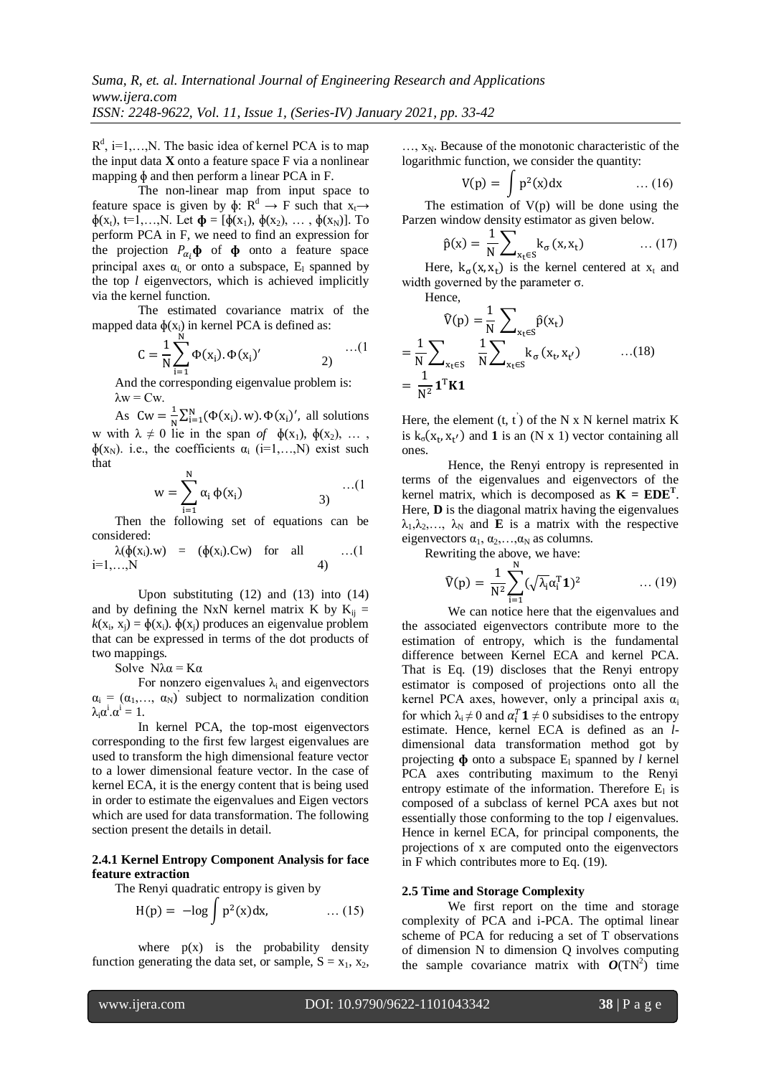$R^d$ , i=1,..., N. The basic idea of kernel PCA is to map the input data **X** onto a feature space F via a nonlinear mapping ɸ and then perform a linear PCA in F.

The non-linear map from input space to feature space is given by  $\phi: \mathbb{R}^d \to F$  such that  $x_t \to$  $\phi(x_1)$ , t=1,..., N. Let  $\phi = [\phi(x_1), \phi(x_2), \dots, \phi(x_N)]$ . To perform PCA in F, we need to find an expression for the projection  $P_{\alpha}$ ,  $\phi$  of  $\phi$  onto a feature space principal axes  $\alpha_i$  or onto a subspace,  $E_i$  spanned by the top *l* eigenvectors, which is achieved implicitly via the kernel function.

The estimated covariance matrix of the mapped data  $\phi(x_i)$  in kernel PCA is defined as:

$$
C = \frac{1}{N} \sum_{i=1}^{N} \Phi(x_i). \Phi(x_i)'
$$
 (1)

And the corresponding eigenvalue problem is:  $λw = Cw$ .

As  $\text{Cw} = \frac{1}{N}$  $\frac{1}{N} \sum_{i=1}^{N} (\Phi(x_i). w). \Phi(x_i)'$ , all solutions w with  $\lambda \neq 0$  lie in the span of  $\phi(x_1)$ ,  $\phi(x_2)$ , ...,  $\phi(x_N)$ . i.e., the coefficients  $\alpha_i$  (i=1,...,N) exist such that

$$
w = \sum_{i=1}^{N} \alpha_i \, \varphi(x_i) \qquad \qquad (1)
$$

Then the following set of equations can be considered:

$$
\lambda(\phi(x_i).w) = (\phi(x_i).Cw)
$$
 for all ... (1  
i=1,...,N

Upon substituting (12) and (13) into (14) and by defining the NxN kernel matrix K by  $K_{ii}$  =  $k(x_i, x_j) = \phi(x_i)$ .  $\phi(x_j)$  produces an eigenvalue problem that can be expressed in terms of the dot products of two mappings.

Solve  $N\lambda \alpha = K\alpha$ 

For nonzero eigenvalues  $\lambda_i$  and eigenvectors  $\alpha_i = (\alpha_1, \dots, \alpha_N)$  subject to normalization condition  $\lambda_i \alpha^i \alpha^i = 1.$ 

In kernel PCA, the top-most eigenvectors corresponding to the first few largest eigenvalues are used to transform the high dimensional feature vector to a lower dimensional feature vector. In the case of kernel ECA, it is the energy content that is being used in order to estimate the eigenvalues and Eigen vectors which are used for data transformation. The following section present the details in detail.

#### **2.4.1 Kernel Entropy Component Analysis for face feature extraction**

The Renyi quadratic entropy is given by

$$
H(p) = -\log \int p^2(x) dx,
$$
 ... (15)

where  $p(x)$  is the probability density function generating the data set, or sample,  $S = x_1, x_2,$ 

 $..., x_N$ . Because of the monotonic characteristic of the logarithmic function, we consider the quantity:

$$
V(p) = \int p^2(x)dx \qquad \qquad \dots (16)
$$

The estimation of  $V(p)$  will be done using the Parzen window density estimator as given below.

$$
\hat{p}(x) = \frac{1}{N} \sum_{x_t \in S} k_{\sigma}(x, x_t) \qquad \qquad \dots (17)
$$

Here,  $k_{\sigma}(x, x_t)$  is the kernel centered at  $x_t$  and width governed by the parameter  $\sigma$ .

Hence,

$$
\widehat{V}(p) = \frac{1}{N} \sum_{x_t \in S} \widehat{p}(x_t)
$$
  
=  $\frac{1}{N} \sum_{x_t \in S} \frac{1}{N} \sum_{x_t \in S} k_{\sigma}(x_t, x_{t'})$  ...(18)  
=  $\frac{1}{N^2} \mathbf{1}^T \mathbf{K} \mathbf{1}$ 

Here, the element  $(t, t)$  of the N x N kernel matrix K is  $k_{\sigma}(x_t, x_{t'})$  and **1** is an (N x 1) vector containing all ones.

Hence, the Renyi entropy is represented in terms of the eigenvalues and eigenvectors of the kernel matrix, which is decomposed as  $K = EDE<sup>T</sup>$ . Here, **D** is the diagonal matrix having the eigenvalues  $\lambda_1, \lambda_2, \ldots, \lambda_N$  and **E** is a matrix with the respective eigenvectors  $\alpha_1, \alpha_2, \ldots, \alpha_N$  as columns.

Rewriting the above, we have:

$$
\widehat{V}(p) = \frac{1}{N^2} \sum_{i=1}^{N} (\sqrt{\lambda_i} \alpha_i^T \mathbf{1})^2 \qquad \qquad \dots (19)
$$

We can notice here that the eigenvalues and the associated eigenvectors contribute more to the estimation of entropy, which is the fundamental difference between Kernel ECA and kernel PCA. That is Eq. (19) discloses that the Renyi entropy estimator is composed of projections onto all the kernel PCA axes, however, only a principal axis  $\alpha_i$ for which  $\lambda_i \neq 0$  and  $\alpha_i^T \mathbf{1} \neq 0$  subsidises to the entropy estimate. Hence, kernel ECA is defined as an *l*dimensional data transformation method got by projecting  $\Phi$  onto a subspace  $E_1$  spanned by *l* kernel PCA axes contributing maximum to the Renyi entropy estimate of the information. Therefore  $E_1$  is composed of a subclass of kernel PCA axes but not essentially those conforming to the top *l* eigenvalues. Hence in kernel ECA, for principal components, the projections of x are computed onto the eigenvectors in F which contributes more to Eq. (19).

#### **2.5 Time and Storage Complexity**

We first report on the time and storage complexity of PCA and i-PCA. The optimal linear scheme of PCA for reducing a set of T observations of dimension N to dimension Q involves computing the sample covariance matrix with  $O(TN^2)$  time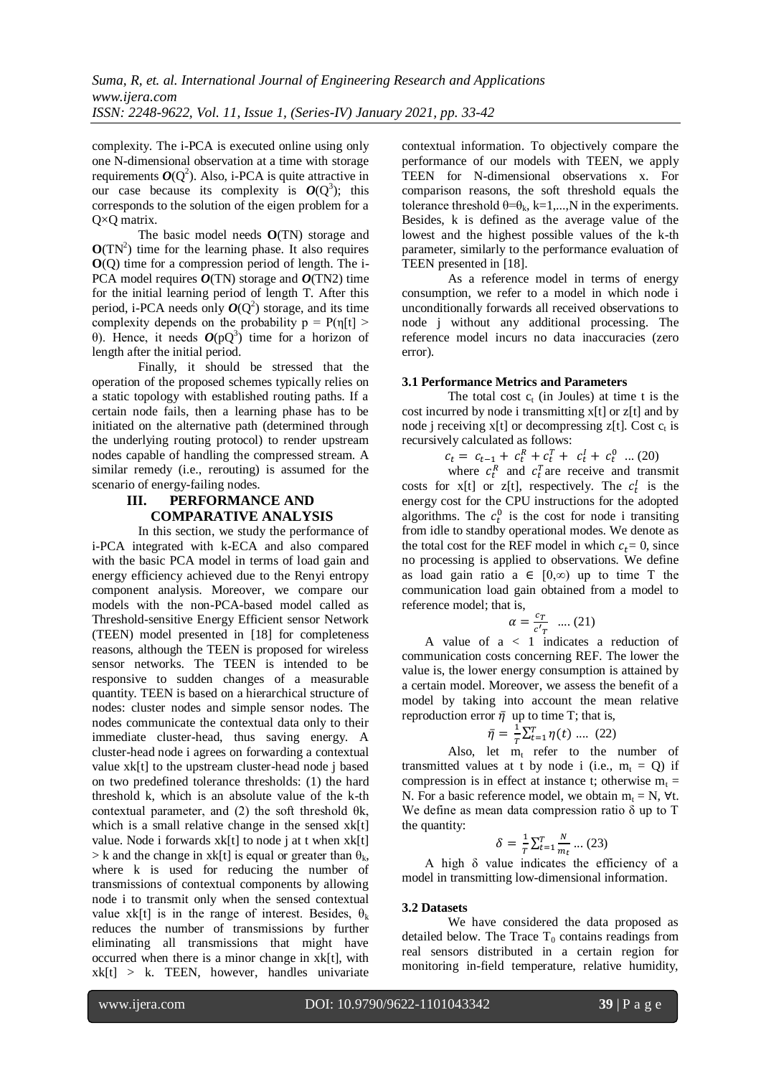complexity. The i-PCA is executed online using only one N-dimensional observation at a time with storage requirements  $O(Q^2)$ . Also, i-PCA is quite attractive in our case because its complexity is  $O(Q^3)$ ; this corresponds to the solution of the eigen problem for a Q×Q matrix.

The basic model needs **O**(TN) storage and  $O(TN^2)$  time for the learning phase. It also requires **O**(Q) time for a compression period of length. The i-PCA model requires *O*(TN) storage and *O*(TN2) time for the initial learning period of length T. After this period, i-PCA needs only  $O(Q^2)$  storage, and its time complexity depends on the probability  $p = P(\eta[t])$ θ). Hence, it needs  $O(pQ<sup>3</sup>)$  time for a horizon of length after the initial period.

Finally, it should be stressed that the operation of the proposed schemes typically relies on a static topology with established routing paths. If a certain node fails, then a learning phase has to be initiated on the alternative path (determined through the underlying routing protocol) to render upstream nodes capable of handling the compressed stream. A similar remedy (i.e., rerouting) is assumed for the scenario of energy-failing nodes.

# **III. PERFORMANCE AND COMPARATIVE ANALYSIS**

In this section, we study the performance of i-PCA integrated with k-ECA and also compared with the basic PCA model in terms of load gain and energy efficiency achieved due to the Renyi entropy component analysis. Moreover, we compare our models with the non-PCA-based model called as Threshold-sensitive Energy Efficient sensor Network (TEEN) model presented in [18] for completeness reasons, although the TEEN is proposed for wireless sensor networks. The TEEN is intended to be responsive to sudden changes of a measurable quantity. TEEN is based on a hierarchical structure of nodes: cluster nodes and simple sensor nodes. The nodes communicate the contextual data only to their immediate cluster-head, thus saving energy. A cluster-head node i agrees on forwarding a contextual value xk[t] to the upstream cluster-head node j based on two predefined tolerance thresholds: (1) the hard threshold k, which is an absolute value of the k-th contextual parameter, and (2) the soft threshold  $\theta$ k, which is a small relative change in the sensed xk[t] value. Node i forwards xk[t] to node j at t when xk[t]  $> k$  and the change in xk[t] is equal or greater than  $\theta_k$ , where k is used for reducing the number of transmissions of contextual components by allowing node i to transmit only when the sensed contextual value xk[t] is in the range of interest. Besides,  $\theta_k$ reduces the number of transmissions by further eliminating all transmissions that might have occurred when there is a minor change in xk[t], with  $xk[t] > k$ . TEEN, however, handles univariate contextual information. To objectively compare the performance of our models with TEEN, we apply TEEN for N-dimensional observations x. For comparison reasons, the soft threshold equals the tolerance threshold  $\theta = \theta_k$ , k=1,...,N in the experiments. Besides, k is defined as the average value of the lowest and the highest possible values of the k-th parameter, similarly to the performance evaluation of TEEN presented in [18].

As a reference model in terms of energy consumption, we refer to a model in which node i unconditionally forwards all received observations to node j without any additional processing. The reference model incurs no data inaccuracies (zero error).

# **3.1 Performance Metrics and Parameters**

The total cost  $c_t$  (in Joules) at time t is the cost incurred by node i transmitting x[t] or z[t] and by node j receiving  $x[t]$  or decompressing  $z[t]$ . Cost  $c_t$  is recursively calculated as follows:

 $c_t = c_{t-1} + c_t^R + c_t^T + c_t^I + c_t^0$  ... (20)

where  $c_t^R$  and  $c_t^T$  are receive and transmit costs for  $x[t]$  or  $z[t]$ , respectively. The  $c_t^{\dagger}$  is the energy cost for the CPU instructions for the adopted algorithms. The  $c_t^0$  is the cost for node i transiting from idle to standby operational modes. We denote as the total cost for the REF model in which  $c_t = 0$ , since no processing is applied to observations. We define as load gain ratio a  $\in [0,\infty)$  up to time T the communication load gain obtained from a model to reference model; that is,

$$
\alpha = \frac{c_T}{c'_T} \quad .... (21)
$$

A value of a < 1 indicates a reduction of communication costs concerning REF. The lower the value is, the lower energy consumption is attained by a certain model. Moreover, we assess the benefit of a model by taking into account the mean relative reproduction error  $\bar{\eta}$  up to time T; that is,

$$
\bar{\eta} = \frac{1}{T} \sum_{t=1}^{T} \eta(t) \dots (22)
$$

Also, let  $m_t$  refer to the number of transmitted values at t by node i (i.e.,  $m_t = Q$ ) if compression is in effect at instance t; otherwise  $m_t =$ N. For a basic reference model, we obtain  $m_t = N$ ,  $\forall t$ . We define as mean data compression ratio  $\delta$  up to T the quantity:

$$
\delta = \frac{1}{T} \sum_{t=1}^{T} \frac{N}{m_t} \dots (23)
$$

A high δ value indicates the efficiency of a model in transmitting low-dimensional information.

# **3.2 Datasets**

We have considered the data proposed as detailed below. The Trace  $T_0$  contains readings from real sensors distributed in a certain region for monitoring in-field temperature, relative humidity,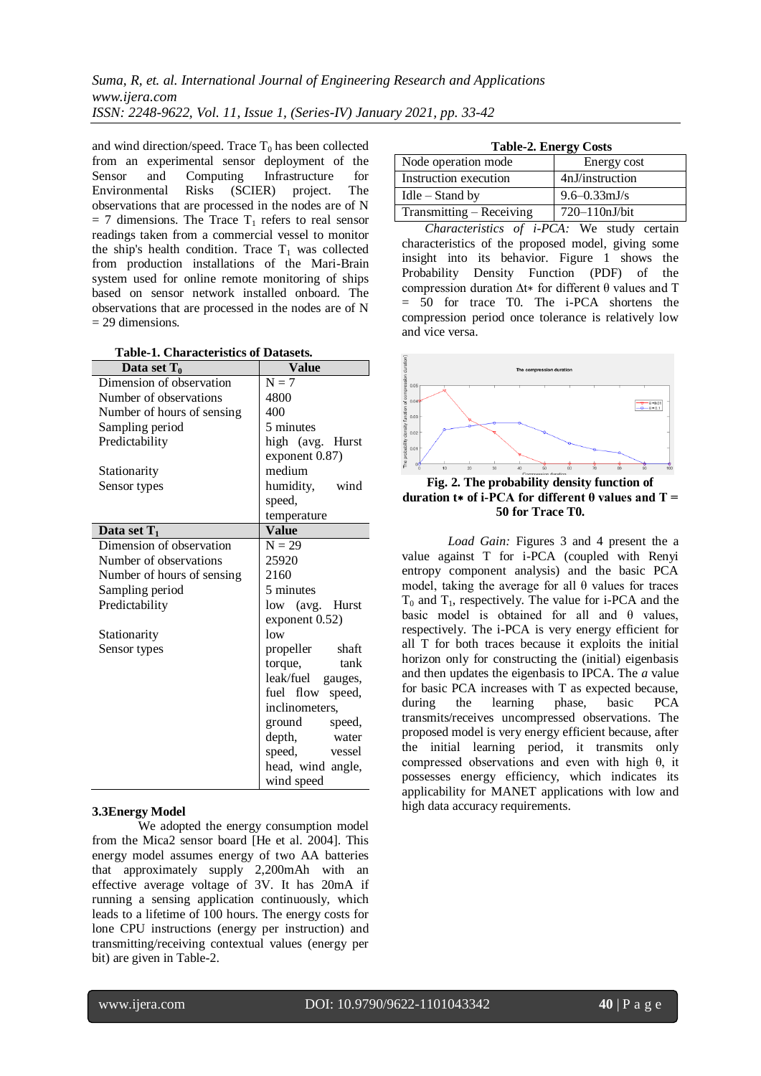and wind direction/speed. Trace  $T_0$  has been collected from an experimental sensor deployment of the Sensor and Computing Infrastructure for Environmental Risks (SCIER) project. The observations that are processed in the nodes are of N  $= 7$  dimensions. The Trace T<sub>1</sub> refers to real sensor readings taken from a commercial vessel to monitor the ship's health condition. Trace  $T_1$  was collected from production installations of the Mari-Brain system used for online remote monitoring of ships based on sensor network installed onboard. The observations that are processed in the nodes are of N  $= 29$  dimensions.

| Data set $T_0$             | <b>Value</b>        |
|----------------------------|---------------------|
| Dimension of observation   | $N = 7$             |
| Number of observations     | 4800                |
| Number of hours of sensing | 400                 |
| Sampling period            | 5 minutes           |
| Predictability             | high (avg. Hurst    |
|                            | exponent 0.87)      |
| Stationarity               | medium              |
| Sensor types               | humidity,<br>wind   |
|                            | speed,              |
|                            | temperature         |
| Data set $T_1$             | <b>Value</b>        |
| Dimension of observation   | $N = 29$            |
| Number of observations     | 25920               |
| Number of hours of sensing | 2160                |
| Sampling period            | 5 minutes           |
| Predictability             | low (avg. Hurst     |
|                            | exponent 0.52)      |
| Stationarity               | low                 |
| Sensor types               | shaft<br>propeller  |
|                            | torque,<br>tank     |
|                            | leak/fuel gauges,   |
|                            | fuel flow<br>speed, |
|                            | inclinometers,      |
|                            | ground<br>speed,    |
|                            | depth,<br>water     |
|                            | speed,<br>vessel    |
|                            | head, wind angle,   |
|                            | wind speed          |

# **3.3Energy Model**

We adopted the energy consumption model from the Mica2 sensor board [He et al. 2004]. This energy model assumes energy of two AA batteries that approximately supply 2,200mAh with an effective average voltage of 3V. It has 20mA if running a sensing application continuously, which leads to a lifetime of 100 hours. The energy costs for lone CPU instructions (energy per instruction) and transmitting/receiving contextual values (energy per bit) are given in Table-2.

| ິ                        |                   |
|--------------------------|-------------------|
| Node operation mode      | Energy cost       |
| Instruction execution    | 4nJ/instruction   |
| $I$ dle – Stand by       | $9.6 - 0.33$ mJ/s |
| Transmitting – Receiving | 720–110nJ/bit     |

*Characteristics of i-PCA:* We study certain characteristics of the proposed model, giving some insight into its behavior. Figure 1 shows the Probability Density Function (PDF) of the compression duration ∆t∗ for different θ values and T = 50 for trace T0. The i-PCA shortens the compression period once tolerance is relatively low and vice versa.



**Fig. 2. The probability density function of duration t**∗ **of i-PCA for different θ values and T = 50 for Trace T0.**

*Load Gain:* Figures 3 and 4 present the a value against T for i-PCA (coupled with Renyi entropy component analysis) and the basic PCA model, taking the average for all  $\theta$  values for traces  $T_0$  and  $T_1$ , respectively. The value for i-PCA and the basic model is obtained for all and  $\theta$  values, respectively. The i-PCA is very energy efficient for all T for both traces because it exploits the initial horizon only for constructing the (initial) eigenbasis and then updates the eigenbasis to IPCA. The *a* value for basic PCA increases with T as expected because, during the learning phase, basic PCA transmits/receives uncompressed observations. The proposed model is very energy efficient because, after the initial learning period, it transmits only compressed observations and even with high θ, it possesses energy efficiency, which indicates its applicability for MANET applications with low and high data accuracy requirements.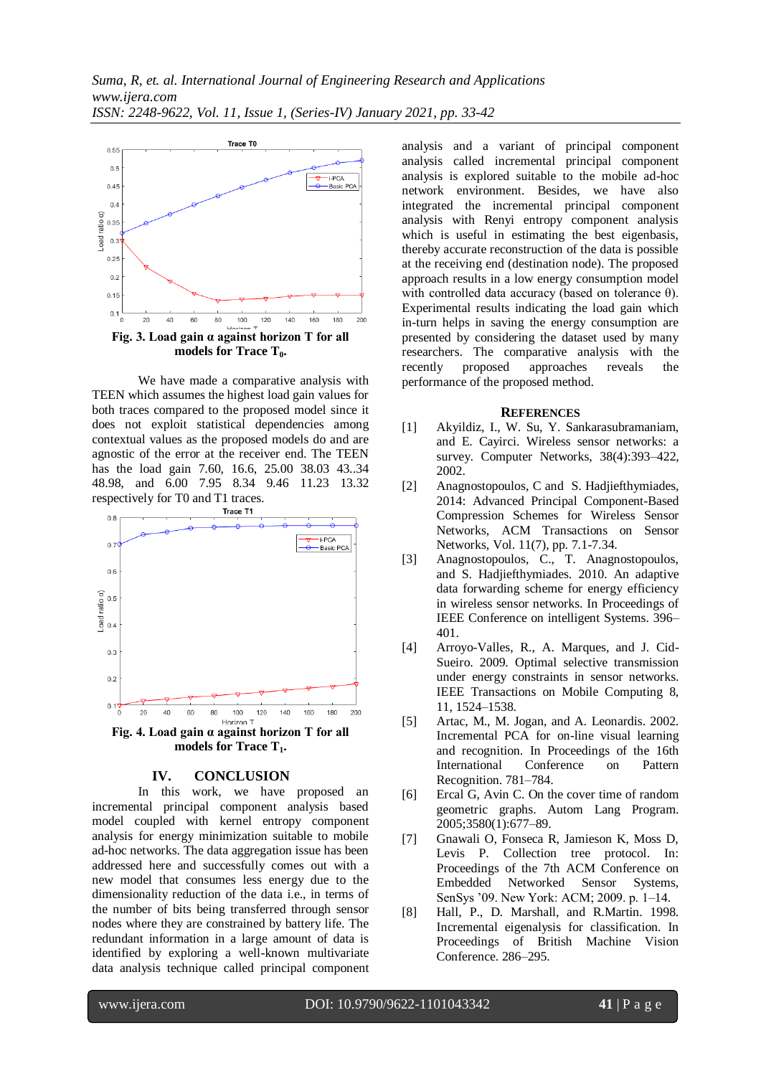

We have made a comparative analysis with TEEN which assumes the highest load gain values for both traces compared to the proposed model since it does not exploit statistical dependencies among contextual values as the proposed models do and are agnostic of the error at the receiver end. The TEEN has the load gain 7.60, 16.6, 25.00 38.03 43..34 48.98, and 6.00 7.95 8.34 9.46 11.23 13.32 respectively for T0 and T1 traces.



# **IV. CONCLUSION**

In this work, we have proposed an incremental principal component analysis based model coupled with kernel entropy component analysis for energy minimization suitable to mobile ad-hoc networks. The data aggregation issue has been addressed here and successfully comes out with a new model that consumes less energy due to the dimensionality reduction of the data i.e., in terms of the number of bits being transferred through sensor nodes where they are constrained by battery life. The redundant information in a large amount of data is identified by exploring a well-known multivariate data analysis technique called principal component

analysis and a variant of principal component analysis called incremental principal component analysis is explored suitable to the mobile ad-hoc network environment. Besides, we have also integrated the incremental principal component analysis with Renyi entropy component analysis which is useful in estimating the best eigenbasis, thereby accurate reconstruction of the data is possible at the receiving end (destination node). The proposed approach results in a low energy consumption model with controlled data accuracy (based on tolerance  $\theta$ ). Experimental results indicating the load gain which in-turn helps in saving the energy consumption are presented by considering the dataset used by many researchers. The comparative analysis with the recently proposed approaches reveals the performance of the proposed method.

#### **REFERENCES**

- [1] Akyildiz, I., W. Su, Y. Sankarasubramaniam, and E. Cayirci. Wireless sensor networks: a survey. Computer Networks, 38(4):393–422, 2002.
- [2] Anagnostopoulos, C and S. Hadjiefthymiades, 2014: Advanced Principal Component-Based Compression Schemes for Wireless Sensor Networks, ACM Transactions on Sensor Networks, Vol. 11(7), pp. 7.1-7.34.
- [3] Anagnostopoulos, C., T. Anagnostopoulos, and S. Hadjiefthymiades. 2010. An adaptive data forwarding scheme for energy efficiency in wireless sensor networks. In Proceedings of IEEE Conference on intelligent Systems. 396– 401.
- [4] Arroyo-Valles, R., A. Marques, and J. Cid-Sueiro. 2009. Optimal selective transmission under energy constraints in sensor networks. IEEE Transactions on Mobile Computing 8, 11, 1524–1538.
- [5] Artac, M., M. Jogan, and A. Leonardis. 2002. Incremental PCA for on-line visual learning and recognition. In Proceedings of the 16th International Conference on Pattern Recognition. 781–784.
- [6] Ercal G, Avin C. On the cover time of random geometric graphs. Autom Lang Program. 2005;3580(1):677–89.
- [7] Gnawali O, Fonseca R, Jamieson K, Moss D, Levis P. Collection tree protocol. In: Proceedings of the 7th ACM Conference on Embedded Networked Sensor Systems, SenSys '09. New York: ACM; 2009. p. 1–14.
- [8] Hall, P., D. Marshall, and R.Martin. 1998. Incremental eigenalysis for classification. In Proceedings of British Machine Vision Conference. 286–295.